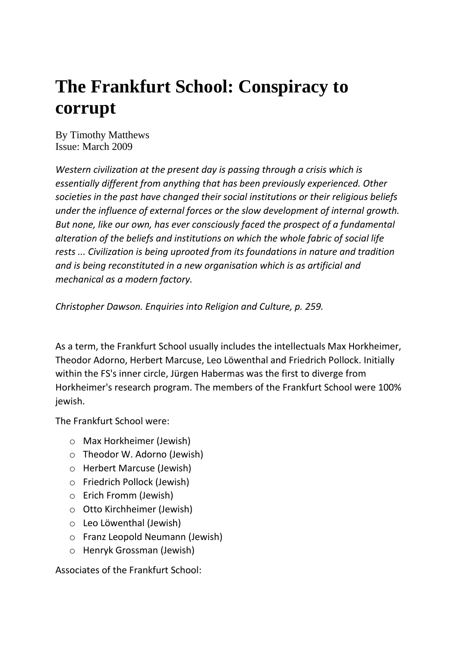# **The Frankfurt School: Conspiracy to corrupt**

By Timothy Matthews Issue: March 2009

*Western civilization at the present day is passing through a crisis which is essentially different from anything that has been previously experienced. Other societies in the past have changed their social institutions or their religious beliefs under the influence of external forces or the slow development of internal growth. But none, like our own, has ever consciously faced the prospect of a fundamental alteration of the beliefs and institutions on which the whole fabric of social life rests ... Civilization is being uprooted from its foundations in nature and tradition and is being reconstituted in a new organisation which is as artificial and mechanical as a modern factory.*

*Christopher Dawson. Enquiries into Religion and Culture, p. 259.*

As a term, the Frankfurt School usually includes the intellectuals Max Horkheimer, Theodor Adorno, Herbert Marcuse, Leo Löwenthal and Friedrich Pollock. Initially within the FS's inner circle, Jürgen Habermas was the first to diverge from Horkheimer's research program. The members of the Frankfurt School were 100% jewish.

The Frankfurt School were:

- o Max Horkheimer (Jewish)
- o Theodor W. Adorno (Jewish)
- o Herbert Marcuse (Jewish)
- o Friedrich Pollock (Jewish)
- o Erich Fromm (Jewish)
- o Otto Kirchheimer (Jewish)
- o Leo Löwenthal (Jewish)
- o Franz Leopold Neumann (Jewish)
- o Henryk Grossman (Jewish)

Associates of the Frankfurt School: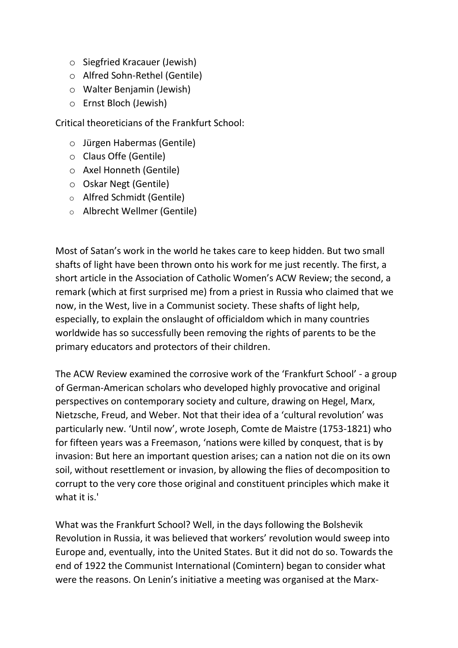- o Siegfried Kracauer (Jewish)
- o Alfred Sohn-Rethel (Gentile)
- o Walter Benjamin (Jewish)
- o Ernst Bloch (Jewish)

Critical theoreticians of the Frankfurt School:

- o Jürgen Habermas (Gentile)
- o Claus Offe (Gentile)
- o Axel Honneth (Gentile)
- o Oskar Negt (Gentile)
- o Alfred Schmidt (Gentile)
- o Albrecht Wellmer (Gentile)

Most of Satan's work in the world he takes care to keep hidden. But two small shafts of light have been thrown onto his work for me just recently. The first, a short article in the Association of Catholic Women's ACW Review; the second, a remark (which at first surprised me) from a priest in Russia who claimed that we now, in the West, live in a Communist society. These shafts of light help, especially, to explain the onslaught of officialdom which in many countries worldwide has so successfully been removing the rights of parents to be the primary educators and protectors of their children.

The ACW Review examined the corrosive work of the 'Frankfurt School' - a group of German-American scholars who developed highly provocative and original perspectives on contemporary society and culture, drawing on Hegel, Marx, Nietzsche, Freud, and Weber. Not that their idea of a 'cultural revolution' was particularly new. 'Until now', wrote Joseph, Comte de Maistre (1753-1821) who for fifteen years was a Freemason, 'nations were killed by conquest, that is by invasion: But here an important question arises; can a nation not die on its own soil, without resettlement or invasion, by allowing the flies of decomposition to corrupt to the very core those original and constituent principles which make it what it is.'

What was the Frankfurt School? Well, in the days following the Bolshevik Revolution in Russia, it was believed that workers' revolution would sweep into Europe and, eventually, into the United States. But it did not do so. Towards the end of 1922 the Communist International (Comintern) began to consider what were the reasons. On Lenin's initiative a meeting was organised at the Marx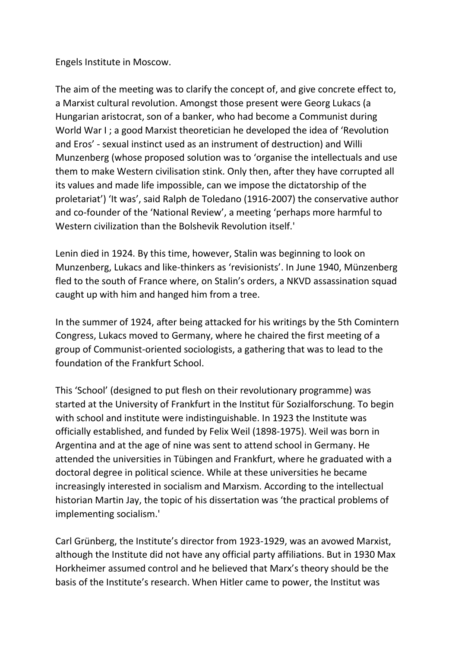Engels Institute in Moscow.

The aim of the meeting was to clarify the concept of, and give concrete effect to, a Marxist cultural revolution. Amongst those present were Georg Lukacs (a Hungarian aristocrat, son of a banker, who had become a Communist during World War I ; a good Marxist theoretician he developed the idea of 'Revolution and Eros' - sexual instinct used as an instrument of destruction) and Willi Munzenberg (whose proposed solution was to 'organise the intellectuals and use them to make Western civilisation stink. Only then, after they have corrupted all its values and made life impossible, can we impose the dictatorship of the proletariat') 'It was', said Ralph de Toledano (1916-2007) the conservative author and co-founder of the 'National Review', a meeting 'perhaps more harmful to Western civilization than the Bolshevik Revolution itself.'

Lenin died in 1924. By this time, however, Stalin was beginning to look on Munzenberg, Lukacs and like-thinkers as 'revisionists'. In June 1940, Münzenberg fled to the south of France where, on Stalin's orders, a NKVD assassination squad caught up with him and hanged him from a tree.

In the summer of 1924, after being attacked for his writings by the 5th Comintern Congress, Lukacs moved to Germany, where he chaired the first meeting of a group of Communist-oriented sociologists, a gathering that was to lead to the foundation of the Frankfurt School.

This 'School' (designed to put flesh on their revolutionary programme) was started at the University of Frankfurt in the Institut für Sozialforschung. To begin with school and institute were indistinguishable. In 1923 the Institute was officially established, and funded by Felix Weil (1898-1975). Weil was born in Argentina and at the age of nine was sent to attend school in Germany. He attended the universities in Tübingen and Frankfurt, where he graduated with a doctoral degree in political science. While at these universities he became increasingly interested in socialism and Marxism. According to the intellectual historian Martin Jay, the topic of his dissertation was 'the practical problems of implementing socialism.'

Carl Grünberg, the Institute's director from 1923-1929, was an avowed Marxist, although the Institute did not have any official party affiliations. But in 1930 Max Horkheimer assumed control and he believed that Marx's theory should be the basis of the Institute's research. When Hitler came to power, the Institut was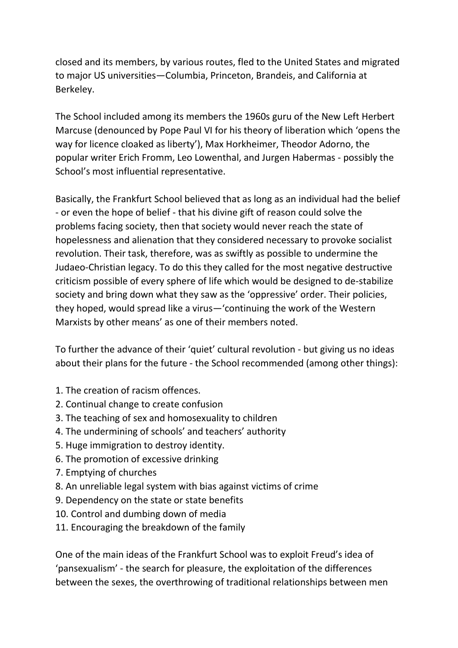closed and its members, by various routes, fled to the United States and migrated to major US universities—Columbia, Princeton, Brandeis, and California at Berkeley.

The School included among its members the 1960s guru of the New Left Herbert Marcuse (denounced by Pope Paul VI for his theory of liberation which 'opens the way for licence cloaked as liberty'), Max Horkheimer, Theodor Adorno, the popular writer Erich Fromm, Leo Lowenthal, and Jurgen Habermas - possibly the School's most influential representative.

Basically, the Frankfurt School believed that as long as an individual had the belief - or even the hope of belief - that his divine gift of reason could solve the problems facing society, then that society would never reach the state of hopelessness and alienation that they considered necessary to provoke socialist revolution. Their task, therefore, was as swiftly as possible to undermine the Judaeo-Christian legacy. To do this they called for the most negative destructive criticism possible of every sphere of life which would be designed to de-stabilize society and bring down what they saw as the 'oppressive' order. Their policies, they hoped, would spread like a virus—'continuing the work of the Western Marxists by other means' as one of their members noted.

To further the advance of their 'quiet' cultural revolution - but giving us no ideas about their plans for the future - the School recommended (among other things):

- 1. The creation of racism offences.
- 2. Continual change to create confusion
- 3. The teaching of sex and homosexuality to children
- 4. The undermining of schools' and teachers' authority
- 5. Huge immigration to destroy identity.
- 6. The promotion of excessive drinking
- 7. Emptying of churches
- 8. An unreliable legal system with bias against victims of crime
- 9. Dependency on the state or state benefits
- 10. Control and dumbing down of media
- 11. Encouraging the breakdown of the family

One of the main ideas of the Frankfurt School was to exploit Freud's idea of 'pansexualism' - the search for pleasure, the exploitation of the differences between the sexes, the overthrowing of traditional relationships between men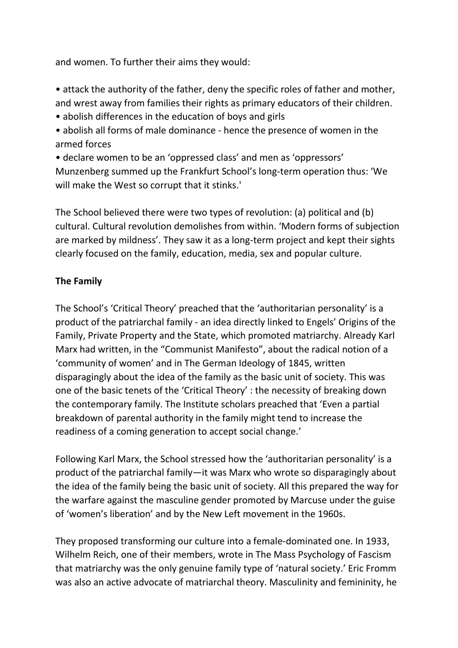and women. To further their aims they would:

- attack the authority of the father, deny the specific roles of father and mother, and wrest away from families their rights as primary educators of their children.
- abolish differences in the education of boys and girls
- abolish all forms of male dominance hence the presence of women in the armed forces
- declare women to be an 'oppressed class' and men as 'oppressors' Munzenberg summed up the Frankfurt School's long-term operation thus: 'We will make the West so corrupt that it stinks.'

The School believed there were two types of revolution: (a) political and (b) cultural. Cultural revolution demolishes from within. 'Modern forms of subjection are marked by mildness'. They saw it as a long-term project and kept their sights clearly focused on the family, education, media, sex and popular culture.

## **The Family**

The School's 'Critical Theory' preached that the 'authoritarian personality' is a product of the patriarchal family - an idea directly linked to Engels' Origins of the Family, Private Property and the State, which promoted matriarchy. Already Karl Marx had written, in the "Communist Manifesto", about the radical notion of a 'community of women' and in The German Ideology of 1845, written disparagingly about the idea of the family as the basic unit of society. This was one of the basic tenets of the 'Critical Theory' : the necessity of breaking down the contemporary family. The Institute scholars preached that 'Even a partial breakdown of parental authority in the family might tend to increase the readiness of a coming generation to accept social change.'

Following Karl Marx, the School stressed how the 'authoritarian personality' is a product of the patriarchal family—it was Marx who wrote so disparagingly about the idea of the family being the basic unit of society. All this prepared the way for the warfare against the masculine gender promoted by Marcuse under the guise of 'women's liberation' and by the New Left movement in the 1960s.

They proposed transforming our culture into a female-dominated one. In 1933, Wilhelm Reich, one of their members, wrote in The Mass Psychology of Fascism that matriarchy was the only genuine family type of 'natural society.' Eric Fromm was also an active advocate of matriarchal theory. Masculinity and femininity, he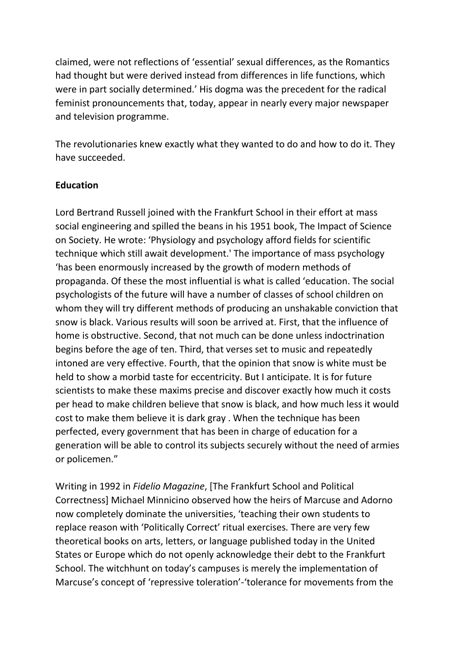claimed, were not reflections of 'essential' sexual differences, as the Romantics had thought but were derived instead from differences in life functions, which were in part socially determined.' His dogma was the precedent for the radical feminist pronouncements that, today, appear in nearly every major newspaper and television programme.

The revolutionaries knew exactly what they wanted to do and how to do it. They have succeeded.

#### **Education**

Lord Bertrand Russell joined with the Frankfurt School in their effort at mass social engineering and spilled the beans in his 1951 book, The Impact of Science on Society. He wrote: 'Physiology and psychology afford fields for scientific technique which still await development.' The importance of mass psychology 'has been enormously increased by the growth of modern methods of propaganda. Of these the most influential is what is called 'education. The social psychologists of the future will have a number of classes of school children on whom they will try different methods of producing an unshakable conviction that snow is black. Various results will soon be arrived at. First, that the influence of home is obstructive. Second, that not much can be done unless indoctrination begins before the age of ten. Third, that verses set to music and repeatedly intoned are very effective. Fourth, that the opinion that snow is white must be held to show a morbid taste for eccentricity. But I anticipate. It is for future scientists to make these maxims precise and discover exactly how much it costs per head to make children believe that snow is black, and how much less it would cost to make them believe it is dark gray . When the technique has been perfected, every government that has been in charge of education for a generation will be able to control its subjects securely without the need of armies or policemen."

Writing in 1992 in *Fidelio Magazine*, [The Frankfurt School and Political Correctness] Michael Minnicino observed how the heirs of Marcuse and Adorno now completely dominate the universities, 'teaching their own students to replace reason with 'Politically Correct' ritual exercises. There are very few theoretical books on arts, letters, or language published today in the United States or Europe which do not openly acknowledge their debt to the Frankfurt School. The witchhunt on today's campuses is merely the implementation of Marcuse's concept of 'repressive toleration'-'tolerance for movements from the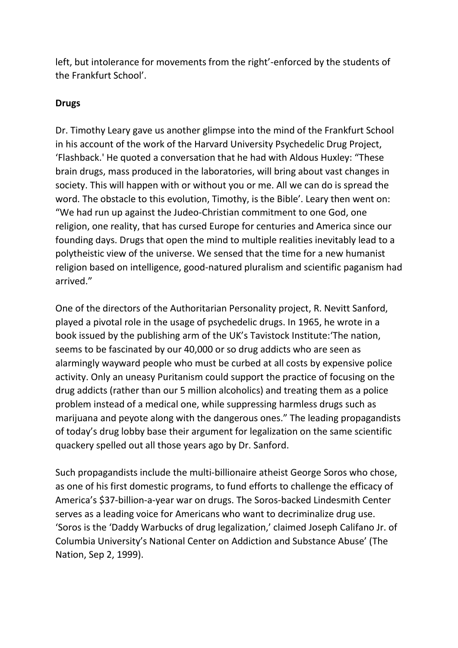left, but intolerance for movements from the right'-enforced by the students of the Frankfurt School'.

# **Drugs**

Dr. Timothy Leary gave us another glimpse into the mind of the Frankfurt School in his account of the work of the Harvard University Psychedelic Drug Project, 'Flashback.' He quoted a conversation that he had with Aldous Huxley: "These brain drugs, mass produced in the laboratories, will bring about vast changes in society. This will happen with or without you or me. All we can do is spread the word. The obstacle to this evolution, Timothy, is the Bible'. Leary then went on: "We had run up against the Judeo-Christian commitment to one God, one religion, one reality, that has cursed Europe for centuries and America since our founding days. Drugs that open the mind to multiple realities inevitably lead to a polytheistic view of the universe. We sensed that the time for a new humanist religion based on intelligence, good-natured pluralism and scientific paganism had arrived."

One of the directors of the Authoritarian Personality project, R. Nevitt Sanford, played a pivotal role in the usage of psychedelic drugs. In 1965, he wrote in a book issued by the publishing arm of the UK's Tavistock Institute:'The nation, seems to be fascinated by our 40,000 or so drug addicts who are seen as alarmingly wayward people who must be curbed at all costs by expensive police activity. Only an uneasy Puritanism could support the practice of focusing on the drug addicts (rather than our 5 million alcoholics) and treating them as a police problem instead of a medical one, while suppressing harmless drugs such as marijuana and peyote along with the dangerous ones." The leading propagandists of today's drug lobby base their argument for legalization on the same scientific quackery spelled out all those years ago by Dr. Sanford.

Such propagandists include the multi-billionaire atheist George Soros who chose, as one of his first domestic programs, to fund efforts to challenge the efficacy of America's \$37-billion-a-year war on drugs. The Soros-backed Lindesmith Center serves as a leading voice for Americans who want to decriminalize drug use. 'Soros is the 'Daddy Warbucks of drug legalization,' claimed Joseph Califano Jr. of Columbia University's National Center on Addiction and Substance Abuse' (The Nation, Sep 2, 1999).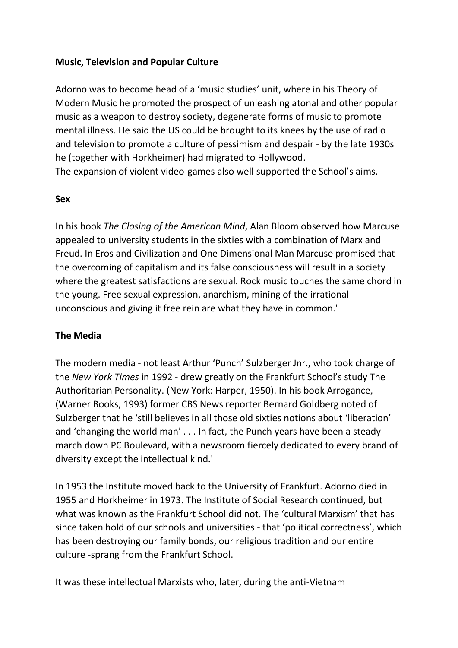#### **Music, Television and Popular Culture**

Adorno was to become head of a 'music studies' unit, where in his Theory of Modern Music he promoted the prospect of unleashing atonal and other popular music as a weapon to destroy society, degenerate forms of music to promote mental illness. He said the US could be brought to its knees by the use of radio and television to promote a culture of pessimism and despair - by the late 1930s he (together with Horkheimer) had migrated to Hollywood.

The expansion of violent video-games also well supported the School's aims.

#### **Sex**

In his book *The Closing of the American Mind*, Alan Bloom observed how Marcuse appealed to university students in the sixties with a combination of Marx and Freud. In Eros and Civilization and One Dimensional Man Marcuse promised that the overcoming of capitalism and its false consciousness will result in a society where the greatest satisfactions are sexual. Rock music touches the same chord in the young. Free sexual expression, anarchism, mining of the irrational unconscious and giving it free rein are what they have in common.'

#### **The Media**

The modern media - not least Arthur 'Punch' Sulzberger Jnr., who took charge of the *New York Times* in 1992 - drew greatly on the Frankfurt School's study The Authoritarian Personality. (New York: Harper, 1950). In his book Arrogance, (Warner Books, 1993) former CBS News reporter Bernard Goldberg noted of Sulzberger that he 'still believes in all those old sixties notions about 'liberation' and 'changing the world man' . . . In fact, the Punch years have been a steady march down PC Boulevard, with a newsroom fiercely dedicated to every brand of diversity except the intellectual kind.'

In 1953 the Institute moved back to the University of Frankfurt. Adorno died in 1955 and Horkheimer in 1973. The Institute of Social Research continued, but what was known as the Frankfurt School did not. The 'cultural Marxism' that has since taken hold of our schools and universities - that 'political correctness', which has been destroying our family bonds, our religious tradition and our entire culture -sprang from the Frankfurt School.

It was these intellectual Marxists who, later, during the anti-Vietnam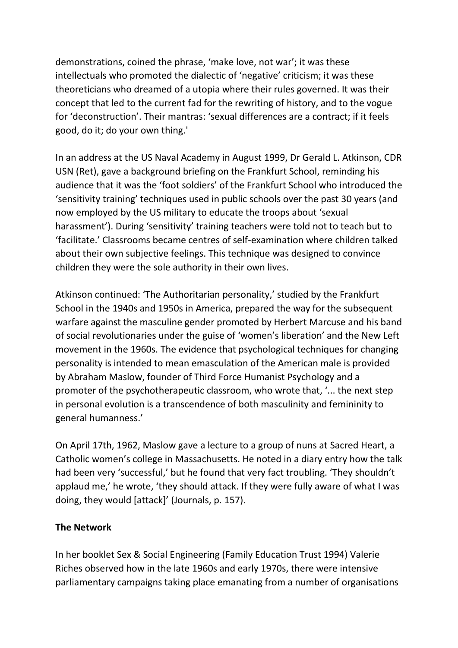demonstrations, coined the phrase, 'make love, not war'; it was these intellectuals who promoted the dialectic of 'negative' criticism; it was these theoreticians who dreamed of a utopia where their rules governed. It was their concept that led to the current fad for the rewriting of history, and to the vogue for 'deconstruction'. Their mantras: 'sexual differences are a contract; if it feels good, do it; do your own thing.'

In an address at the US Naval Academy in August 1999, Dr Gerald L. Atkinson, CDR USN (Ret), gave a background briefing on the Frankfurt School, reminding his audience that it was the 'foot soldiers' of the Frankfurt School who introduced the 'sensitivity training' techniques used in public schools over the past 30 years (and now employed by the US military to educate the troops about 'sexual harassment'). During 'sensitivity' training teachers were told not to teach but to 'facilitate.' Classrooms became centres of self-examination where children talked about their own subjective feelings. This technique was designed to convince children they were the sole authority in their own lives.

Atkinson continued: 'The Authoritarian personality,' studied by the Frankfurt School in the 1940s and 1950s in America, prepared the way for the subsequent warfare against the masculine gender promoted by Herbert Marcuse and his band of social revolutionaries under the guise of 'women's liberation' and the New Left movement in the 1960s. The evidence that psychological techniques for changing personality is intended to mean emasculation of the American male is provided by Abraham Maslow, founder of Third Force Humanist Psychology and a promoter of the psychotherapeutic classroom, who wrote that, '... the next step in personal evolution is a transcendence of both masculinity and femininity to general humanness.'

On April 17th, 1962, Maslow gave a lecture to a group of nuns at Sacred Heart, a Catholic women's college in Massachusetts. He noted in a diary entry how the talk had been very 'successful,' but he found that very fact troubling. 'They shouldn't applaud me,' he wrote, 'they should attack. If they were fully aware of what I was doing, they would [attack]' (Journals, p. 157).

## **The Network**

In her booklet Sex & Social Engineering (Family Education Trust 1994) Valerie Riches observed how in the late 1960s and early 1970s, there were intensive parliamentary campaigns taking place emanating from a number of organisations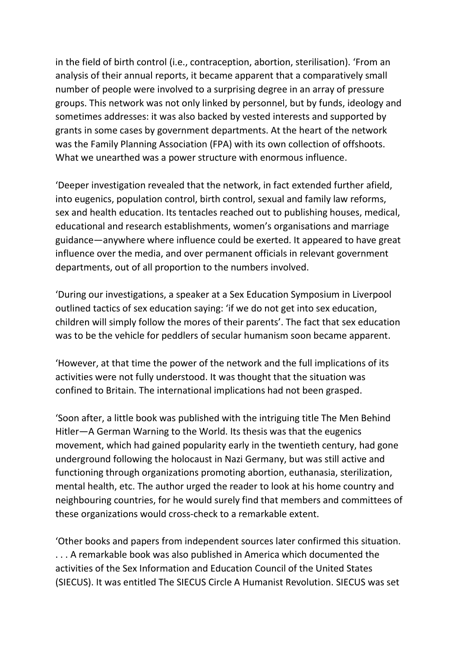in the field of birth control (i.e., contraception, abortion, sterilisation). 'From an analysis of their annual reports, it became apparent that a comparatively small number of people were involved to a surprising degree in an array of pressure groups. This network was not only linked by personnel, but by funds, ideology and sometimes addresses: it was also backed by vested interests and supported by grants in some cases by government departments. At the heart of the network was the Family Planning Association (FPA) with its own collection of offshoots. What we unearthed was a power structure with enormous influence.

'Deeper investigation revealed that the network, in fact extended further afield, into eugenics, population control, birth control, sexual and family law reforms, sex and health education. Its tentacles reached out to publishing houses, medical, educational and research establishments, women's organisations and marriage guidance—anywhere where influence could be exerted. It appeared to have great influence over the media, and over permanent officials in relevant government departments, out of all proportion to the numbers involved.

'During our investigations, a speaker at a Sex Education Symposium in Liverpool outlined tactics of sex education saying: 'if we do not get into sex education, children will simply follow the mores of their parents'. The fact that sex education was to be the vehicle for peddlers of secular humanism soon became apparent.

'However, at that time the power of the network and the full implications of its activities were not fully understood. It was thought that the situation was confined to Britain. The international implications had not been grasped.

'Soon after, a little book was published with the intriguing title The Men Behind Hitler—A German Warning to the World. Its thesis was that the eugenics movement, which had gained popularity early in the twentieth century, had gone underground following the holocaust in Nazi Germany, but was still active and functioning through organizations promoting abortion, euthanasia, sterilization, mental health, etc. The author urged the reader to look at his home country and neighbouring countries, for he would surely find that members and committees of these organizations would cross-check to a remarkable extent.

'Other books and papers from independent sources later confirmed this situation. . . . A remarkable book was also published in America which documented the activities of the Sex Information and Education Council of the United States (SIECUS). It was entitled The SIECUS Circle A Humanist Revolution. SIECUS was set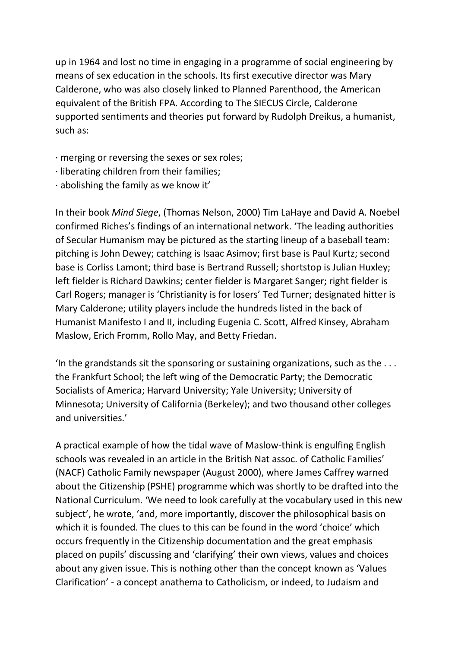up in 1964 and lost no time in engaging in a programme of social engineering by means of sex education in the schools. Its first executive director was Mary Calderone, who was also closely linked to Planned Parenthood, the American equivalent of the British FPA. According to The SIECUS Circle, Calderone supported sentiments and theories put forward by Rudolph Dreikus, a humanist, such as:

- · merging or reversing the sexes or sex roles;
- · liberating children from their families;
- $\cdot$  abolishing the family as we know it'

In their book *Mind Siege*, (Thomas Nelson, 2000) Tim LaHaye and David A. Noebel confirmed Riches's findings of an international network. 'The leading authorities of Secular Humanism may be pictured as the starting lineup of a baseball team: pitching is John Dewey; catching is Isaac Asimov; first base is Paul Kurtz; second base is Corliss Lamont; third base is Bertrand Russell; shortstop is Julian Huxley; left fielder is Richard Dawkins; center fielder is Margaret Sanger; right fielder is Carl Rogers; manager is 'Christianity is for losers' Ted Turner; designated hitter is Mary Calderone; utility players include the hundreds listed in the back of Humanist Manifesto I and II, including Eugenia C. Scott, Alfred Kinsey, Abraham Maslow, Erich Fromm, Rollo May, and Betty Friedan.

'In the grandstands sit the sponsoring or sustaining organizations, such as the  $\dots$ the Frankfurt School; the left wing of the Democratic Party; the Democratic Socialists of America; Harvard University; Yale University; University of Minnesota; University of California (Berkeley); and two thousand other colleges and universities.'

A practical example of how the tidal wave of Maslow-think is engulfing English schools was revealed in an article in the British Nat assoc. of Catholic Families' (NACF) Catholic Family newspaper (August 2000), where James Caffrey warned about the Citizenship (PSHE) programme which was shortly to be drafted into the National Curriculum. 'We need to look carefully at the vocabulary used in this new subject', he wrote, 'and, more importantly, discover the philosophical basis on which it is founded. The clues to this can be found in the word 'choice' which occurs frequently in the Citizenship documentation and the great emphasis placed on pupils' discussing and 'clarifying' their own views, values and choices about any given issue. This is nothing other than the concept known as 'Values Clarification' - a concept anathema to Catholicism, or indeed, to Judaism and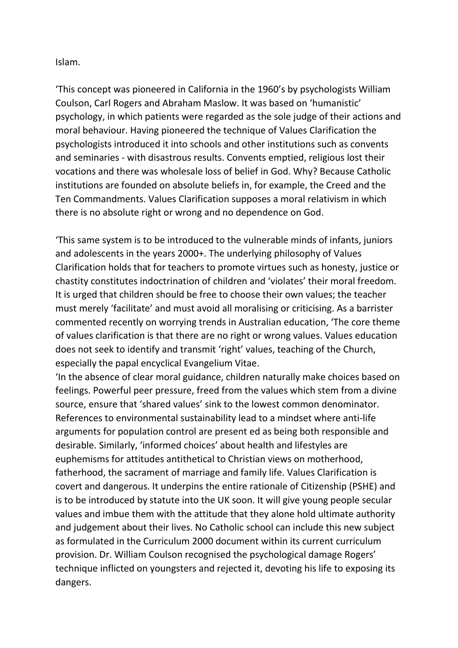Islam.

'This concept was pioneered in California in the 1960's by psychologists William Coulson, Carl Rogers and Abraham Maslow. It was based on 'humanistic' psychology, in which patients were regarded as the sole judge of their actions and moral behaviour. Having pioneered the technique of Values Clarification the psychologists introduced it into schools and other institutions such as convents and seminaries - with disastrous results. Convents emptied, religious lost their vocations and there was wholesale loss of belief in God. Why? Because Catholic institutions are founded on absolute beliefs in, for example, the Creed and the Ten Commandments. Values Clarification supposes a moral relativism in which there is no absolute right or wrong and no dependence on God.

'This same system is to be introduced to the vulnerable minds of infants, juniors and adolescents in the years 2000+. The underlying philosophy of Values Clarification holds that for teachers to promote virtues such as honesty, justice or chastity constitutes indoctrination of children and 'violates' their moral freedom. It is urged that children should be free to choose their own values; the teacher must merely 'facilitate' and must avoid all moralising or criticising. As a barrister commented recently on worrying trends in Australian education, 'The core theme of values clarification is that there are no right or wrong values. Values education does not seek to identify and transmit 'right' values, teaching of the Church, especially the papal encyclical Evangelium Vitae.

'In the absence of clear moral guidance, children naturally make choices based on feelings. Powerful peer pressure, freed from the values which stem from a divine source, ensure that 'shared values' sink to the lowest common denominator. References to environmental sustainability lead to a mindset where anti-life arguments for population control are present ed as being both responsible and desirable. Similarly, 'informed choices' about health and lifestyles are euphemisms for attitudes antithetical to Christian views on motherhood, fatherhood, the sacrament of marriage and family life. Values Clarification is covert and dangerous. It underpins the entire rationale of Citizenship (PSHE) and is to be introduced by statute into the UK soon. It will give young people secular values and imbue them with the attitude that they alone hold ultimate authority and judgement about their lives. No Catholic school can include this new subject as formulated in the Curriculum 2000 document within its current curriculum provision. Dr. William Coulson recognised the psychological damage Rogers' technique inflicted on youngsters and rejected it, devoting his life to exposing its dangers.